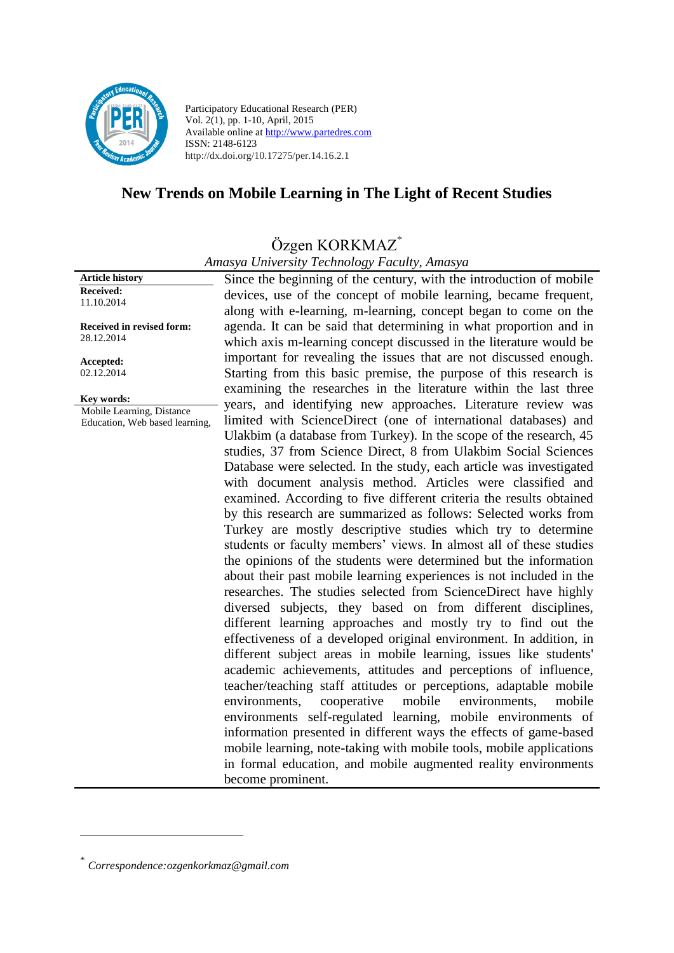

Participatory Educational Research (PER) Vol. 2(1), pp. 1-10, April, 2015 Available online at http://www.partedres.com ISSN: 2148-6123 http://dx.doi.org/10.17275/per.14.16.2.1

# **New Trends on Mobile Learning in The Light of Recent Studies**

# Özgen KORKMAZ\*

*Amasya University Technology Faculty, Amasya*

**Received:**  11.10.2014 **Received in revised form:** 

**Article history**

28.12.2014

**Accepted:** 02.12.2014

**Key words:** Mobile Learning, Distance Education, Web based learning, Since the beginning of the century, with the introduction of mobile devices, use of the concept of mobile learning, became frequent, along with e-learning, m-learning, concept began to come on the agenda. It can be said that determining in what proportion and in which axis m-learning concept discussed in the literature would be important for revealing the issues that are not discussed enough. Starting from this basic premise, the purpose of this research is examining the researches in the literature within the last three years, and identifying new approaches. Literature review was limited with ScienceDirect (one of international databases) and Ulakbim (a database from Turkey). In the scope of the research, 45 studies, 37 from Science Direct, 8 from Ulakbim Social Sciences Database were selected. In the study, each article was investigated with document analysis method. Articles were classified and examined. According to five different criteria the results obtained by this research are summarized as follows: Selected works from Turkey are mostly descriptive studies which try to determine students or faculty members' views. In almost all of these studies the opinions of the students were determined but the information about their past mobile learning experiences is not included in the researches. The studies selected from ScienceDirect have highly diversed subjects, they based on from different disciplines, different learning approaches and mostly try to find out the effectiveness of a developed original environment. In addition, in different subject areas in mobile learning, issues like students' academic achievements, attitudes and perceptions of influence, teacher/teaching staff attitudes or perceptions, adaptable mobile environments, cooperative mobile environments, mobile environments self-regulated learning, mobile environments of information presented in different ways the effects of game-based mobile learning, note-taking with mobile tools, mobile applications in formal education, and mobile augmented reality environments become prominent.

<u>.</u>

<sup>\*</sup> *Correspondence:ozgenkorkmaz@gmail.com*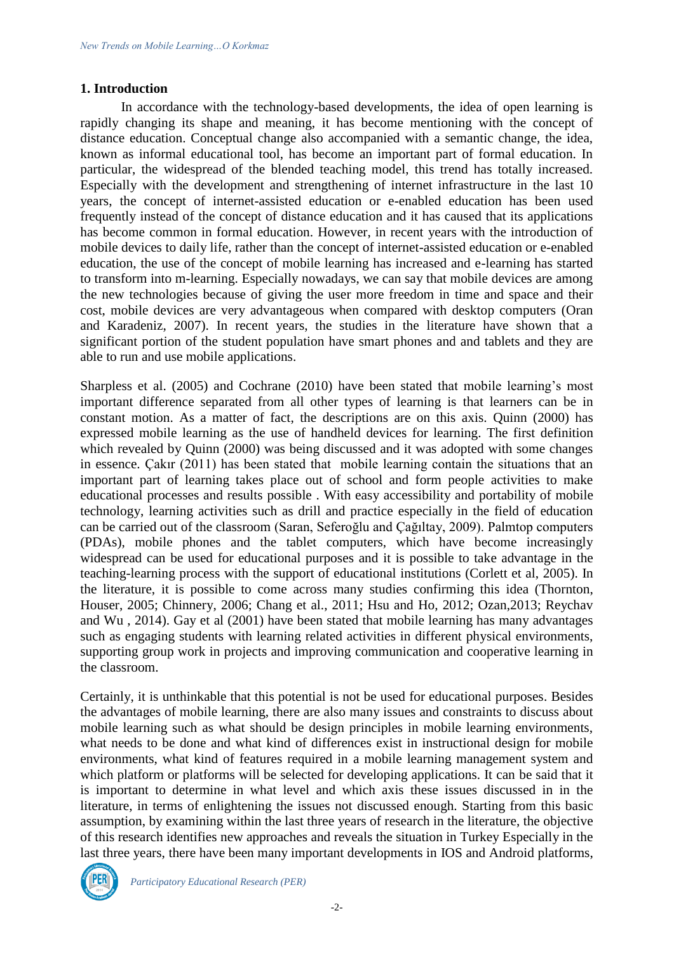#### **1. Introduction**

In accordance with the technology-based developments, the idea of open learning is rapidly changing its shape and meaning, it has become mentioning with the concept of distance education. Conceptual change also accompanied with a semantic change, the idea, known as informal educational tool, has become an important part of formal education. In particular, the widespread of the blended teaching model, this trend has totally increased. Especially with the development and strengthening of internet infrastructure in the last 10 years, the concept of internet-assisted education or e-enabled education has been used frequently instead of the concept of distance education and it has caused that its applications has become common in formal education. However, in recent years with the introduction of mobile devices to daily life, rather than the concept of internet-assisted education or e-enabled education, the use of the concept of mobile learning has increased and e-learning has started to transform into m-learning. Especially nowadays, we can say that mobile devices are among the new technologies because of giving the user more freedom in time and space and their cost, mobile devices are very advantageous when compared with desktop computers (Oran and Karadeniz, 2007). In recent years, the studies in the literature have shown that a significant portion of the student population have smart phones and and tablets and they are able to run and use mobile applications.

Sharpless et al. (2005) and Cochrane (2010) have been stated that mobile learning's most important difference separated from all other types of learning is that learners can be in constant motion. As a matter of fact, the descriptions are on this axis. Quinn (2000) has expressed mobile learning as the use of handheld devices for learning. The first definition which revealed by Quinn (2000) was being discussed and it was adopted with some changes in essence. Çakır (2011) has been stated that mobile learning contain the situations that an important part of learning takes place out of school and form people activities to make educational processes and results possible . With easy accessibility and portability of mobile technology, learning activities such as drill and practice especially in the field of education can be carried out of the classroom (Saran, Seferoğlu and Çağıltay, 2009). Palmtop computers (PDAs), mobile phones and the tablet computers, which have become increasingly widespread can be used for educational purposes and it is possible to take advantage in the teaching-learning process with the support of educational institutions (Corlett et al, 2005). In the literature, it is possible to come across many studies confirming this idea (Thornton, Houser, 2005; Chinnery, 2006; Chang et al., 2011; Hsu and Ho, 2012; Ozan,2013; Reychav and Wu , 2014). Gay et al (2001) have been stated that mobile learning has many advantages such as engaging students with learning related activities in different physical environments, supporting group work in projects and improving communication and cooperative learning in the classroom.

Certainly, it is unthinkable that this potential is not be used for educational purposes. Besides the advantages of mobile learning, there are also many issues and constraints to discuss about mobile learning such as what should be design principles in mobile learning environments, what needs to be done and what kind of differences exist in instructional design for mobile environments, what kind of features required in a mobile learning management system and which platform or platforms will be selected for developing applications. It can be said that it is important to determine in what level and which axis these issues discussed in in the literature, in terms of enlightening the issues not discussed enough. Starting from this basic assumption, by examining within the last three years of research in the literature, the objective of this research identifies new approaches and reveals the situation in Turkey Especially in the last three years, there have been many important developments in IOS and Android platforms,

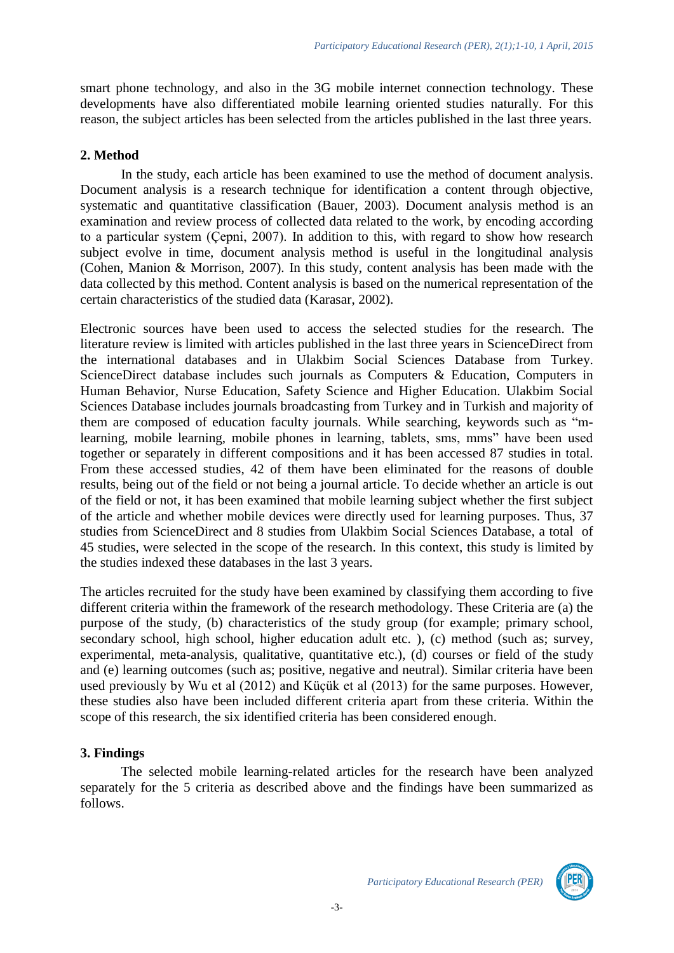smart phone technology, and also in the 3G mobile internet connection technology. These developments have also differentiated mobile learning oriented studies naturally. For this reason, the subject articles has been selected from the articles published in the last three years.

#### **2. Method**

In the study, each article has been examined to use the method of document analysis. Document analysis is a research technique for identification a content through objective, systematic and quantitative classification (Bauer, 2003). Document analysis method is an examination and review process of collected data related to the work, by encoding according to a particular system (Çepni, 2007). In addition to this, with regard to show how research subject evolve in time, document analysis method is useful in the longitudinal analysis (Cohen, Manion & Morrison, 2007). In this study, content analysis has been made with the data collected by this method. Content analysis is based on the numerical representation of the certain characteristics of the studied data (Karasar, 2002).

Electronic sources have been used to access the selected studies for the research. The literature review is limited with articles published in the last three years in ScienceDirect from the international databases and in Ulakbim Social Sciences Database from Turkey. ScienceDirect database includes such journals as Computers & Education, Computers in Human Behavior, Nurse Education, Safety Science and Higher Education. Ulakbim Social Sciences Database includes journals broadcasting from Turkey and in Turkish and majority of them are composed of education faculty journals. While searching, keywords such as "mlearning, mobile learning, mobile phones in learning, tablets, sms, mms" have been used together or separately in different compositions and it has been accessed 87 studies in total. From these accessed studies, 42 of them have been eliminated for the reasons of double results, being out of the field or not being a journal article. To decide whether an article is out of the field or not, it has been examined that mobile learning subject whether the first subject of the article and whether mobile devices were directly used for learning purposes. Thus, 37 studies from ScienceDirect and 8 studies from Ulakbim Social Sciences Database, a total of 45 studies, were selected in the scope of the research. In this context, this study is limited by the studies indexed these databases in the last 3 years.

The articles recruited for the study have been examined by classifying them according to five different criteria within the framework of the research methodology. These Criteria are (a) the purpose of the study, (b) characteristics of the study group (for example; primary school, secondary school, high school, higher education adult etc. ), (c) method (such as; survey, experimental, meta-analysis, qualitative, quantitative etc.), (d) courses or field of the study and (e) learning outcomes (such as; positive, negative and neutral). Similar criteria have been used previously by Wu et al (2012) and Küçük et al (2013) for the same purposes. However, these studies also have been included different criteria apart from these criteria. Within the scope of this research, the six identified criteria has been considered enough.

#### **3. Findings**

The selected mobile learning-related articles for the research have been analyzed separately for the 5 criteria as described above and the findings have been summarized as follows.

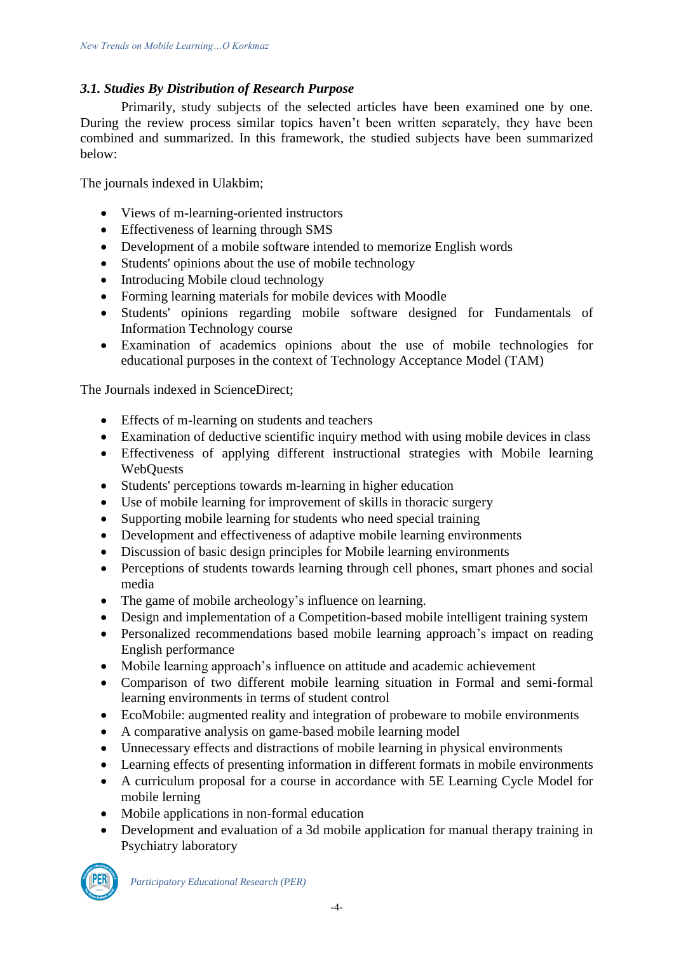# *3.1. Studies By Distribution of Research Purpose*

Primarily, study subjects of the selected articles have been examined one by one. During the review process similar topics haven't been written separately, they have been combined and summarized. In this framework, the studied subjects have been summarized below:

The journals indexed in Ulakbim;

- Views of m-learning-oriented instructors
- Effectiveness of learning through SMS
- Development of a mobile software intended to memorize English words
- Students' opinions about the use of mobile technology
- Introducing Mobile cloud technology
- Forming learning materials for mobile devices with Moodle
- Students' opinions regarding mobile software designed for Fundamentals of Information Technology course
- Examination of academics opinions about the use of mobile technologies for educational purposes in the context of Technology Acceptance Model (TAM)

The Journals indexed in ScienceDirect;

- Effects of m-learning on students and teachers
- Examination of deductive scientific inquiry method with using mobile devices in class
- Effectiveness of applying different instructional strategies with Mobile learning WebQuests
- Students' perceptions towards m-learning in higher education
- Use of mobile learning for improvement of skills in thoracic surgery
- Supporting mobile learning for students who need special training
- Development and effectiveness of adaptive mobile learning environments
- Discussion of basic design principles for Mobile learning environments
- Perceptions of students towards learning through cell phones, smart phones and social media
- The game of mobile archeology's influence on learning.
- Design and implementation of a Competition-based mobile intelligent training system
- Personalized recommendations based mobile learning approach's impact on reading English performance
- Mobile learning approach's influence on attitude and academic achievement
- Comparison of two different mobile learning situation in Formal and semi-formal learning environments in terms of student control
- EcoMobile: augmented reality and integration of probeware to mobile environments
- A comparative analysis on game-based mobile learning model
- Unnecessary effects and distractions of mobile learning in physical environments
- Learning effects of presenting information in different formats in mobile environments
- A curriculum proposal for a course in accordance with 5E Learning Cycle Model for mobile lerning
- Mobile applications in non-formal education
- Development and evaluation of a 3d mobile application for manual therapy training in Psychiatry laboratory

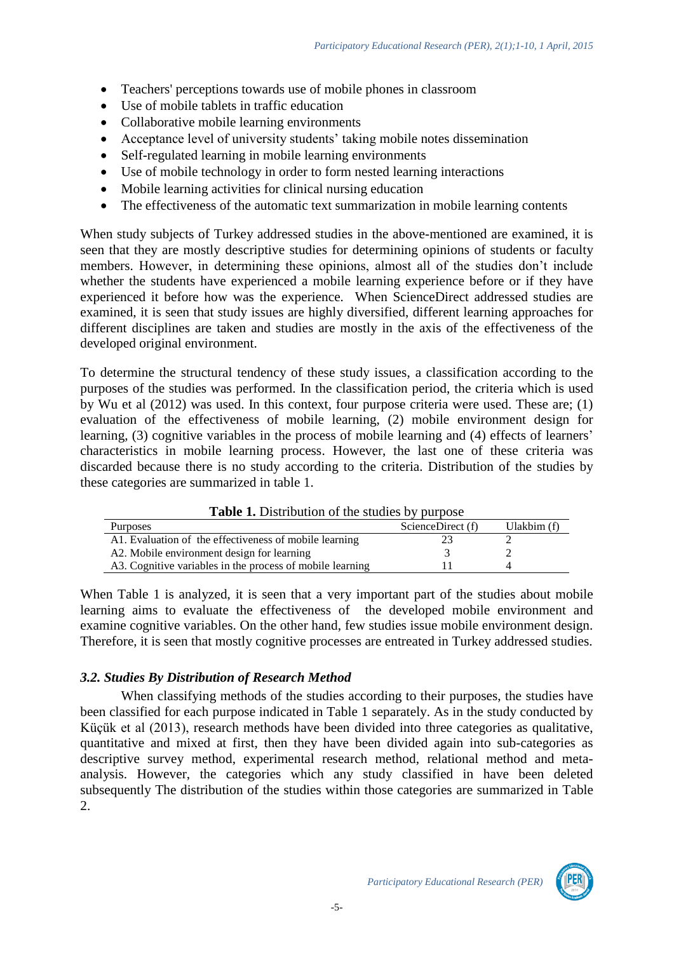- Teachers' perceptions towards use of mobile phones in classroom
- Use of mobile tablets in traffic education
- Collaborative mobile learning environments
- Acceptance level of university students' taking mobile notes dissemination
- Self-regulated learning in mobile learning environments
- Use of mobile technology in order to form nested learning interactions
- Mobile learning activities for clinical nursing education
- The effectiveness of the automatic text summarization in mobile learning contents

When study subjects of Turkey addressed studies in the above-mentioned are examined, it is seen that they are mostly descriptive studies for determining opinions of students or faculty members. However, in determining these opinions, almost all of the studies don't include whether the students have experienced a mobile learning experience before or if they have experienced it before how was the experience. When ScienceDirect addressed studies are examined, it is seen that study issues are highly diversified, different learning approaches for different disciplines are taken and studies are mostly in the axis of the effectiveness of the developed original environment.

To determine the structural tendency of these study issues, a classification according to the purposes of the studies was performed. In the classification period, the criteria which is used by Wu et al (2012) was used. In this context, four purpose criteria were used. These are; (1) evaluation of the effectiveness of mobile learning, (2) mobile environment design for learning, (3) cognitive variables in the process of mobile learning and (4) effects of learners' characteristics in mobile learning process. However, the last one of these criteria was discarded because there is no study according to the criteria. Distribution of the studies by these categories are summarized in table 1.

| <b>Table 1.</b> Distribution of the studies by purpose    |                   |             |  |  |  |  |  |  |
|-----------------------------------------------------------|-------------------|-------------|--|--|--|--|--|--|
| <b>Purposes</b>                                           | ScienceDirect (f) | Ulakbim (f) |  |  |  |  |  |  |
| A1. Evaluation of the effectiveness of mobile learning    |                   |             |  |  |  |  |  |  |
| A2. Mobile environment design for learning                |                   |             |  |  |  |  |  |  |
| A3. Cognitive variables in the process of mobile learning |                   |             |  |  |  |  |  |  |

**Table 1.** Distribution of the studies by purpose

When Table 1 is analyzed, it is seen that a very important part of the studies about mobile learning aims to evaluate the effectiveness of the developed mobile environment and examine cognitive variables. On the other hand, few studies issue mobile environment design. Therefore, it is seen that mostly cognitive processes are entreated in Turkey addressed studies.

## *3.2. Studies By Distribution of Research Method*

When classifying methods of the studies according to their purposes, the studies have been classified for each purpose indicated in Table 1 separately. As in the study conducted by Küçük et al (2013), research methods have been divided into three categories as qualitative, quantitative and mixed at first, then they have been divided again into sub-categories as descriptive survey method, experimental research method, relational method and metaanalysis. However, the categories which any study classified in have been deleted subsequently The distribution of the studies within those categories are summarized in Table 2.

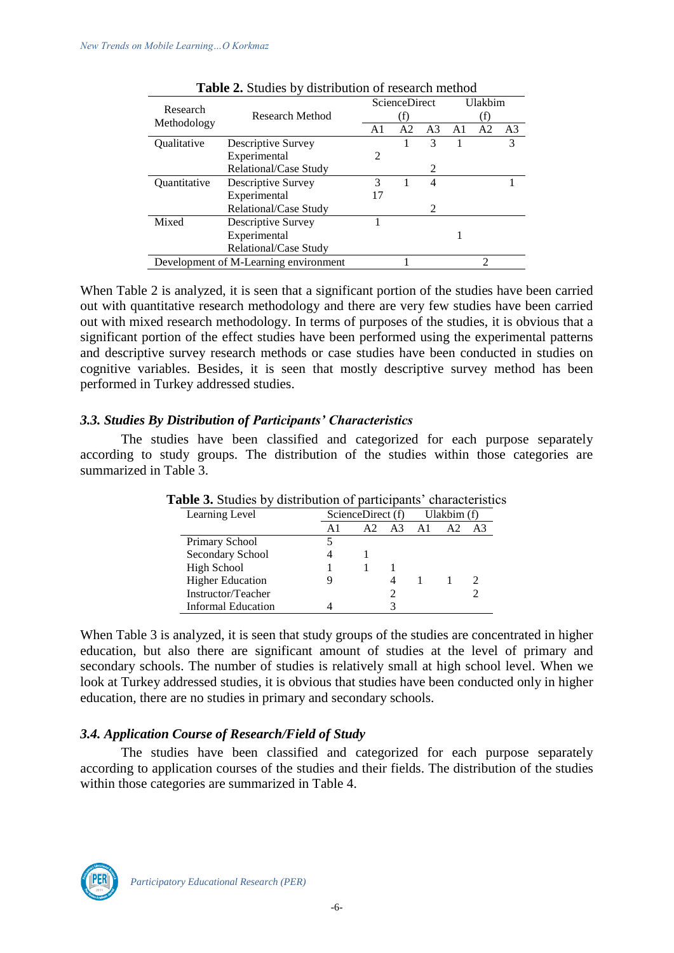| Research                              |                       |                | <b>ScienceDirect</b> | Ulakbim        |    |                |    |  |
|---------------------------------------|-----------------------|----------------|----------------------|----------------|----|----------------|----|--|
|                                       | Research Method       |                |                      |                |    |                |    |  |
| Methodology                           |                       | A <sub>1</sub> | A <sub>2</sub>       | A <sub>3</sub> | A1 | A <sub>2</sub> | A3 |  |
| Qualitative                           | Descriptive Survey    |                |                      | 3              |    |                | 3  |  |
|                                       | Experimental          | 2              |                      |                |    |                |    |  |
|                                       | Relational/Case Study |                |                      | 2              |    |                |    |  |
| Quantitative                          | Descriptive Survey    | 3              |                      | 4              |    |                |    |  |
|                                       | Experimental          |                |                      |                |    |                |    |  |
|                                       | Relational/Case Study |                |                      | 2              |    |                |    |  |
| Mixed                                 | Descriptive Survey    |                |                      |                |    |                |    |  |
|                                       | Experimental          |                |                      |                |    |                |    |  |
|                                       | Relational/Case Study |                |                      |                |    |                |    |  |
| Development of M-Learning environment |                       |                |                      |                | റ  |                |    |  |

|  | Table 2. Studies by distribution of research method |  |  |
|--|-----------------------------------------------------|--|--|
|  |                                                     |  |  |

When Table 2 is analyzed, it is seen that a significant portion of the studies have been carried out with quantitative research methodology and there are very few studies have been carried out with mixed research methodology. In terms of purposes of the studies, it is obvious that a significant portion of the effect studies have been performed using the experimental patterns and descriptive survey research methods or case studies have been conducted in studies on cognitive variables. Besides, it is seen that mostly descriptive survey method has been performed in Turkey addressed studies.

#### *3.3. Studies By Distribution of Participants' Characteristics*

The studies have been classified and categorized for each purpose separately according to study groups. The distribution of the studies within those categories are summarized in Table 3.

| Learning Level          |    | ScienceDirect (f) |                    | Ulakbim (f) |    |       |  |
|-------------------------|----|-------------------|--------------------|-------------|----|-------|--|
|                         | A1 | A2                | $A3 \overline{A1}$ |             | A2 | $A_3$ |  |
| Primary School          |    |                   |                    |             |    |       |  |
| Secondary School        |    |                   |                    |             |    |       |  |
| High School             |    |                   |                    |             |    |       |  |
| <b>Higher Education</b> |    |                   |                    |             |    |       |  |
| Instructor/Teacher      |    |                   |                    |             |    |       |  |
| Informal Education      |    |                   |                    |             |    |       |  |

**Table 3.** Studies by distribution of participants' characteristics

When Table 3 is analyzed, it is seen that study groups of the studies are concentrated in higher education, but also there are significant amount of studies at the level of primary and secondary schools. The number of studies is relatively small at high school level. When we look at Turkey addressed studies, it is obvious that studies have been conducted only in higher education, there are no studies in primary and secondary schools.

## *3.4. Application Course of Research/Field of Study*

The studies have been classified and categorized for each purpose separately according to application courses of the studies and their fields. The distribution of the studies within those categories are summarized in Table 4.

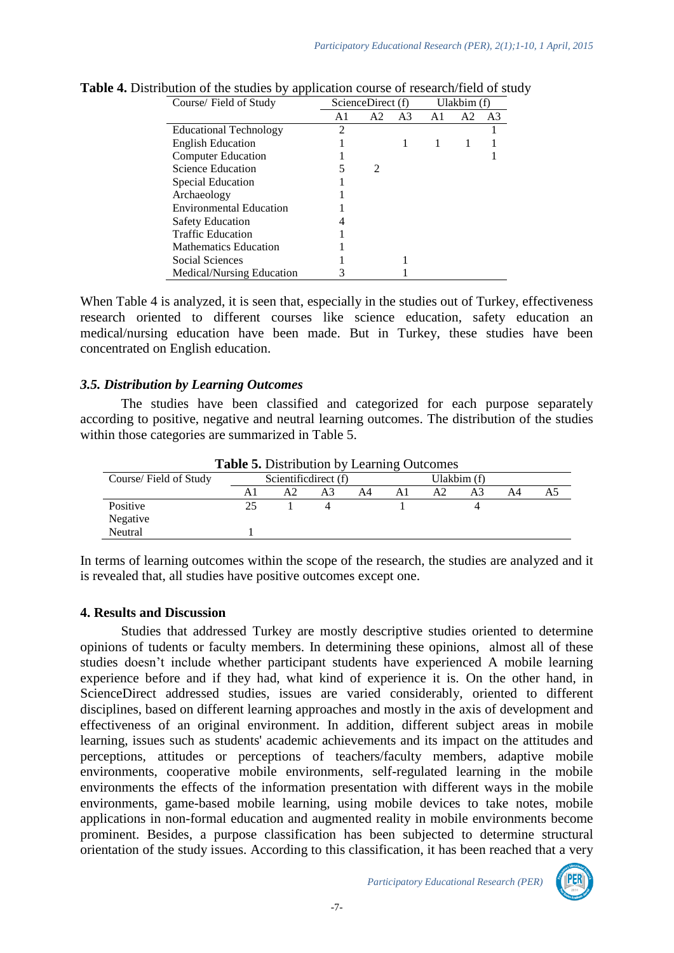| Course/ Field of Study         | ScienceDirect (f) | Ulakbim (f)           |    |    |                |                |
|--------------------------------|-------------------|-----------------------|----|----|----------------|----------------|
|                                | A1                | A <sub>2</sub>        | A3 | A1 | A <sub>2</sub> | A <sub>3</sub> |
| <b>Educational Technology</b>  | 2                 |                       |    |    |                |                |
| <b>English Education</b>       |                   |                       |    |    |                |                |
| <b>Computer Education</b>      |                   |                       |    |    |                |                |
| Science Education              |                   | $\mathcal{D}_{\cdot}$ |    |    |                |                |
| Special Education              |                   |                       |    |    |                |                |
| Archaeology                    |                   |                       |    |    |                |                |
| <b>Environmental Education</b> |                   |                       |    |    |                |                |
| <b>Safety Education</b>        |                   |                       |    |    |                |                |
| <b>Traffic Education</b>       |                   |                       |    |    |                |                |
| <b>Mathematics Education</b>   |                   |                       |    |    |                |                |
| Social Sciences                |                   |                       |    |    |                |                |
| Medical/Nursing Education      | 3                 |                       |    |    |                |                |

**Table 4.** Distribution of the studies by application course of research/field of study

When Table 4 is analyzed, it is seen that, especially in the studies out of Turkey, effectiveness research oriented to different courses like science education, safety education an medical/nursing education have been made. But in Turkey, these studies have been concentrated on English education.

#### *3.5. Distribution by Learning Outcomes*

The studies have been classified and categorized for each purpose separately according to positive, negative and neutral learning outcomes. The distribution of the studies within those categories are summarized in Table 5.

| <b>Table 5.</b> Distribution by Learning Outcomes |    |                      |    |    |                |             |  |    |  |
|---------------------------------------------------|----|----------------------|----|----|----------------|-------------|--|----|--|
| Course/Field of Study                             |    | Scientificdirect (f) |    |    |                | Ulakbim (f) |  |    |  |
|                                                   |    | А2                   | A3 | A4 | A <sub>1</sub> | A2          |  | A4 |  |
| Positive                                          | 25 |                      |    |    |                |             |  |    |  |
| Negative                                          |    |                      |    |    |                |             |  |    |  |
| Neutral                                           |    |                      |    |    |                |             |  |    |  |

**Table 5.** Distribution by Learning Outcomes

In terms of learning outcomes within the scope of the research, the studies are analyzed and it is revealed that, all studies have positive outcomes except one.

#### **4. Results and Discussion**

Studies that addressed Turkey are mostly descriptive studies oriented to determine opinions of tudents or faculty members. In determining these opinions, almost all of these studies doesn't include whether participant students have experienced A mobile learning experience before and if they had, what kind of experience it is. On the other hand, in ScienceDirect addressed studies, issues are varied considerably, oriented to different disciplines, based on different learning approaches and mostly in the axis of development and effectiveness of an original environment. In addition, different subject areas in mobile learning, issues such as students' academic achievements and its impact on the attitudes and perceptions, attitudes or perceptions of teachers/faculty members, adaptive mobile environments, cooperative mobile environments, self-regulated learning in the mobile environments the effects of the information presentation with different ways in the mobile environments, game-based mobile learning, using mobile devices to take notes, mobile applications in non-formal education and augmented reality in mobile environments become prominent. Besides, a purpose classification has been subjected to determine structural orientation of the study issues. According to this classification, it has been reached that a very

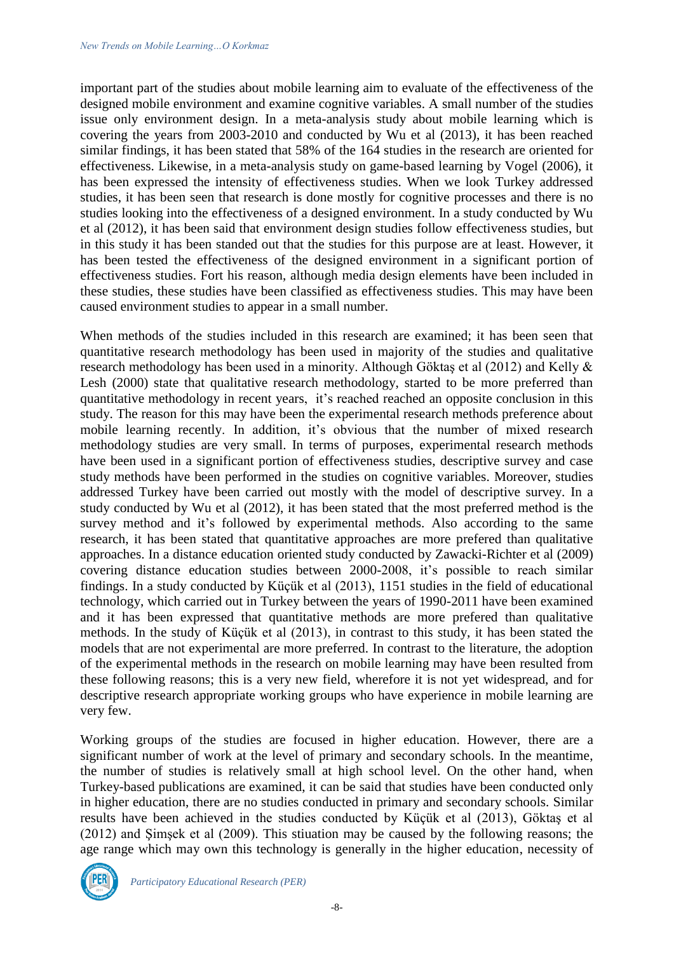important part of the studies about mobile learning aim to evaluate of the effectiveness of the designed mobile environment and examine cognitive variables. A small number of the studies issue only environment design. In a meta-analysis study about mobile learning which is covering the years from 2003-2010 and conducted by Wu et al (2013), it has been reached similar findings, it has been stated that 58% of the 164 studies in the research are oriented for effectiveness. Likewise, in a meta-analysis study on game-based learning by Vogel (2006), it has been expressed the intensity of effectiveness studies. When we look Turkey addressed studies, it has been seen that research is done mostly for cognitive processes and there is no studies looking into the effectiveness of a designed environment. In a study conducted by Wu et al (2012), it has been said that environment design studies follow effectiveness studies, but in this study it has been standed out that the studies for this purpose are at least. However, it has been tested the effectiveness of the designed environment in a significant portion of effectiveness studies. Fort his reason, although media design elements have been included in these studies, these studies have been classified as effectiveness studies. This may have been caused environment studies to appear in a small number.

When methods of the studies included in this research are examined; it has been seen that quantitative research methodology has been used in majority of the studies and qualitative research methodology has been used in a minority. Although Göktaş et al (2012) and Kelly & Lesh (2000) state that qualitative research methodology, started to be more preferred than quantitative methodology in recent years, it's reached reached an opposite conclusion in this study. The reason for this may have been the experimental research methods preference about mobile learning recently. In addition, it's obvious that the number of mixed research methodology studies are very small. In terms of purposes, experimental research methods have been used in a significant portion of effectiveness studies, descriptive survey and case study methods have been performed in the studies on cognitive variables. Moreover, studies addressed Turkey have been carried out mostly with the model of descriptive survey. In a study conducted by Wu et al (2012), it has been stated that the most preferred method is the survey method and it's followed by experimental methods. Also according to the same research, it has been stated that quantitative approaches are more prefered than qualitative approaches. In a distance education oriented study conducted by Zawacki-Richter et al (2009) covering distance education studies between 2000-2008, it's possible to reach similar findings. In a study conducted by Küçük et al (2013), 1151 studies in the field of educational technology, which carried out in Turkey between the years of 1990-2011 have been examined and it has been expressed that quantitative methods are more prefered than qualitative methods. In the study of Küçük et al (2013), in contrast to this study, it has been stated the models that are not experimental are more preferred. In contrast to the literature, the adoption of the experimental methods in the research on mobile learning may have been resulted from these following reasons; this is a very new field, wherefore it is not yet widespread, and for descriptive research appropriate working groups who have experience in mobile learning are very few.

Working groups of the studies are focused in higher education. However, there are a significant number of work at the level of primary and secondary schools. In the meantime, the number of studies is relatively small at high school level. On the other hand, when Turkey-based publications are examined, it can be said that studies have been conducted only in higher education, there are no studies conducted in primary and secondary schools. Similar results have been achieved in the studies conducted by Küçük et al (2013), Göktaş et al (2012) and Şimşek et al (2009). This stiuation may be caused by the following reasons; the age range which may own this technology is generally in the higher education, necessity of

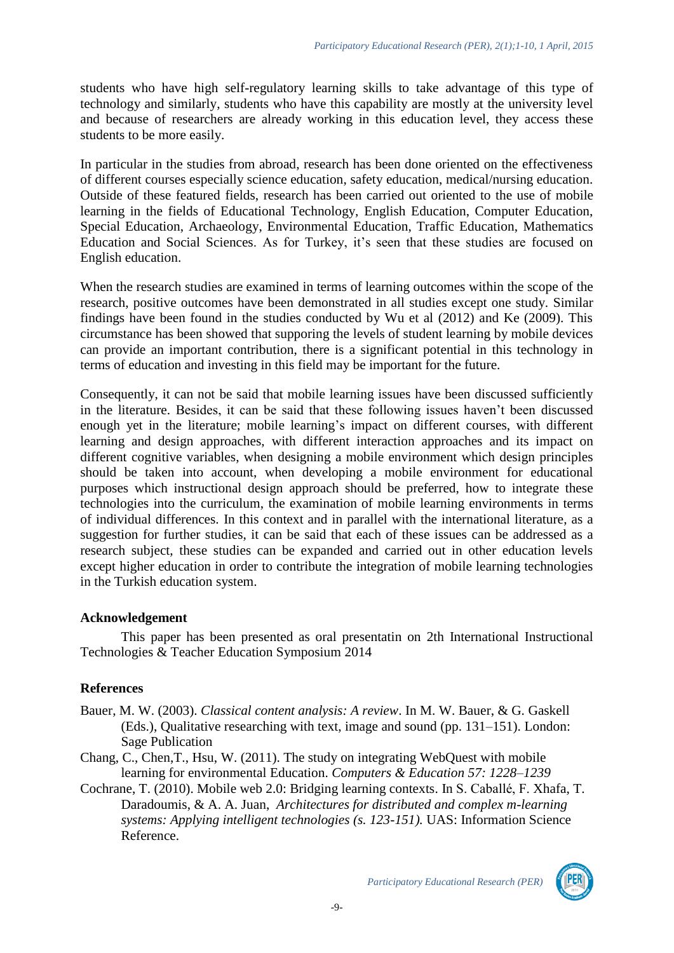students who have high self-regulatory learning skills to take advantage of this type of technology and similarly, students who have this capability are mostly at the university level and because of researchers are already working in this education level, they access these students to be more easily.

In particular in the studies from abroad, research has been done oriented on the effectiveness of different courses especially science education, safety education, medical/nursing education. Outside of these featured fields, research has been carried out oriented to the use of mobile learning in the fields of Educational Technology, English Education, Computer Education, Special Education, Archaeology, Environmental Education, Traffic Education, Mathematics Education and Social Sciences. As for Turkey, it's seen that these studies are focused on English education.

When the research studies are examined in terms of learning outcomes within the scope of the research, positive outcomes have been demonstrated in all studies except one study. Similar findings have been found in the studies conducted by Wu et al (2012) and Ke (2009). This circumstance has been showed that supporing the levels of student learning by mobile devices can provide an important contribution, there is a significant potential in this technology in terms of education and investing in this field may be important for the future.

Consequently, it can not be said that mobile learning issues have been discussed sufficiently in the literature. Besides, it can be said that these following issues haven't been discussed enough yet in the literature; mobile learning's impact on different courses, with different learning and design approaches, with different interaction approaches and its impact on different cognitive variables, when designing a mobile environment which design principles should be taken into account, when developing a mobile environment for educational purposes which instructional design approach should be preferred, how to integrate these technologies into the curriculum, the examination of mobile learning environments in terms of individual differences. In this context and in parallel with the international literature, as a suggestion for further studies, it can be said that each of these issues can be addressed as a research subject, these studies can be expanded and carried out in other education levels except higher education in order to contribute the integration of mobile learning technologies in the Turkish education system.

#### **Acknowledgement**

This paper has been presented as oral presentatin on 2th International Instructional Technologies & Teacher Education Symposium 2014

## **References**

- Bauer, M. W. (2003). *Classical content analysis: A review*. In M. W. Bauer, & G. Gaskell (Eds.), Qualitative researching with text, image and sound (pp. 131–151). London: Sage Publication
- Chang, C., Chen,T., Hsu, W. (2011). The study on integrating WebQuest with mobile learning for environmental Education. *Computers & Education 57: 1228–1239*
- Cochrane, T. (2010). Mobile web 2.0: Bridging learning contexts. In S. Caballé, F. Xhafa, T. Daradoumis, & A. A. Juan, *Architectures for distributed and complex m-learning systems: Applying intelligent technologies (s. 123-151).* UAS: Information Science Reference.

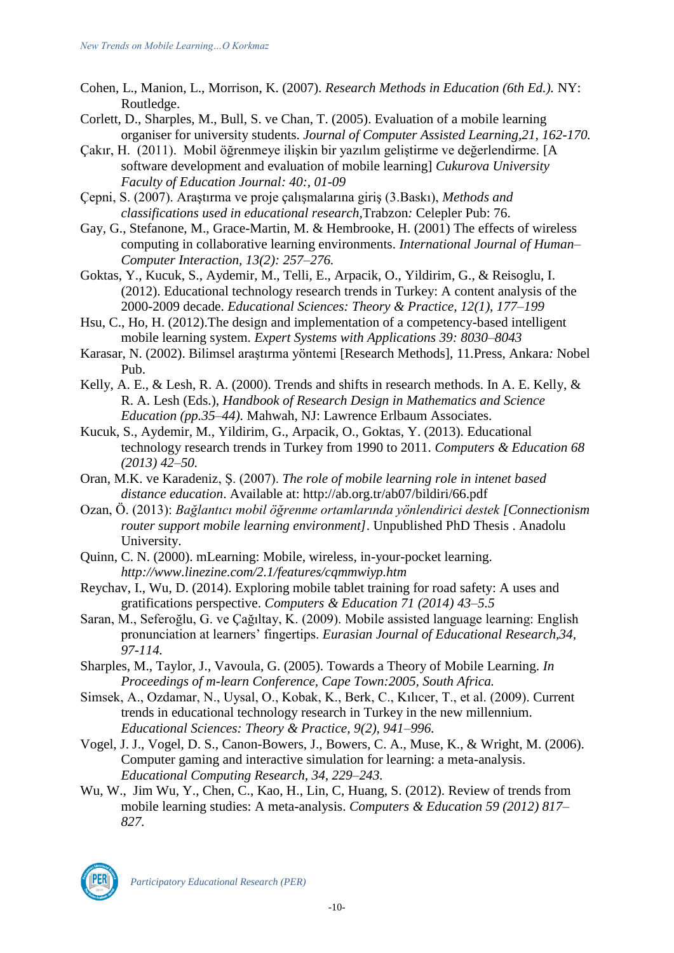- Cohen, L., Manion, L., Morrison, K. (2007). *Research Methods in Education (6th Ed.).* NY: Routledge.
- Corlett, D., Sharples, M., Bull, S. ve Chan, T. (2005). Evaluation of a mobile learning organiser for university students. *Journal of Computer Assisted Learning,21, 162-170.*
- Çakır, H. (2011). Mobil öğrenmeye ilişkin bir yazılım geliştirme ve değerlendirme. [A software development and evaluation of mobile learning] *Cukurova University Faculty of Education Journal: 40:, 01-09*
- Çepni, S. (2007). Araştırma ve proje çalışmalarına giriş (3.Baskı), *Methods and classifications used in educational research,*Trabzon*:* Celepler Pub: 76.
- Gay, G., Stefanone, M., Grace-Martin, M. & Hembrooke, H. (2001) The effects of wireless computing in collaborative learning environments. *International Journal of Human– Computer Interaction, 13(2): 257–276.*
- Goktas, Y., Kucuk, S., Aydemir, M., Telli, E., Arpacik, O., Yildirim, G., & Reisoglu, I. (2012). Educational technology research trends in Turkey: A content analysis of the 2000-2009 decade. *Educational Sciences: Theory & Practice, 12(1), 177–199*
- Hsu, C., Ho, H. (2012).The design and implementation of a competency-based intelligent mobile learning system. *Expert Systems with Applications 39: 8030–8043*
- Karasar, N. (2002). Bilimsel araştırma yöntemi [Research Methods], 11.Press, Ankara*:* Nobel Pub.
- Kelly, A. E., & Lesh, R. A. (2000). Trends and shifts in research methods. In A. E. Kelly, & R. A. Lesh (Eds.), *Handbook of Research Design in Mathematics and Science Education (pp.35–44).* Mahwah, NJ: Lawrence Erlbaum Associates.
- Kucuk, S., Aydemir, M., Yildirim, G., Arpacik, O., Goktas, Y. (2013). Educational technology research trends in Turkey from 1990 to 2011. *Computers & Education 68 (2013) 42–50.*
- Oran, M.K. ve Karadeniz, Ş. (2007). *The role of mobile learning role in intenet based distance education*. Available at: http://ab.org.tr/ab07/bildiri/66.pdf
- Ozan, Ö. (2013): *Bağlantıcı mobil öğrenme ortamlarında yönlendirici destek [Connectionism router support mobile learning environment]*. Unpublished PhD Thesis . Anadolu University.
- Quinn, C. N. (2000). mLearning: Mobile, wireless, in-your-pocket learning. *http://www.linezine.com/2.1/features/cqmmwiyp.htm*
- Reychav, I., Wu, D. (2014). Exploring mobile tablet training for road safety: A uses and gratifications perspective. *Computers & Education 71 (2014) 43–5.5*
- Saran, M., Seferoğlu, G. ve Çağıltay, K. (2009). Mobile assisted language learning: English pronunciation at learners' fingertips. *Eurasian Journal of Educational Research,34, 97-114.*
- Sharples, M., Taylor, J., Vavoula, G. (2005). Towards a Theory of Mobile Learning. *In Proceedings of m-learn Conference, Cape Town:2005, South Africa.*
- Simsek, A., Ozdamar, N., Uysal, O., Kobak, K., Berk, C., Kılıcer, T., et al. (2009). Current trends in educational technology research in Turkey in the new millennium. *Educational Sciences: Theory & Practice, 9(2), 941–996.*
- Vogel, J. J., Vogel, D. S., Canon-Bowers, J., Bowers, C. A., Muse, K., & Wright, M. (2006). Computer gaming and interactive simulation for learning: a meta-analysis. *Educational Computing Research, 34, 229–243.*
- Wu, W., Jim Wu, Y., Chen, C., Kao, H., Lin, C, Huang, S. (2012). Review of trends from mobile learning studies: A meta-analysis. *Computers & Education 59 (2012) 817– 827.*